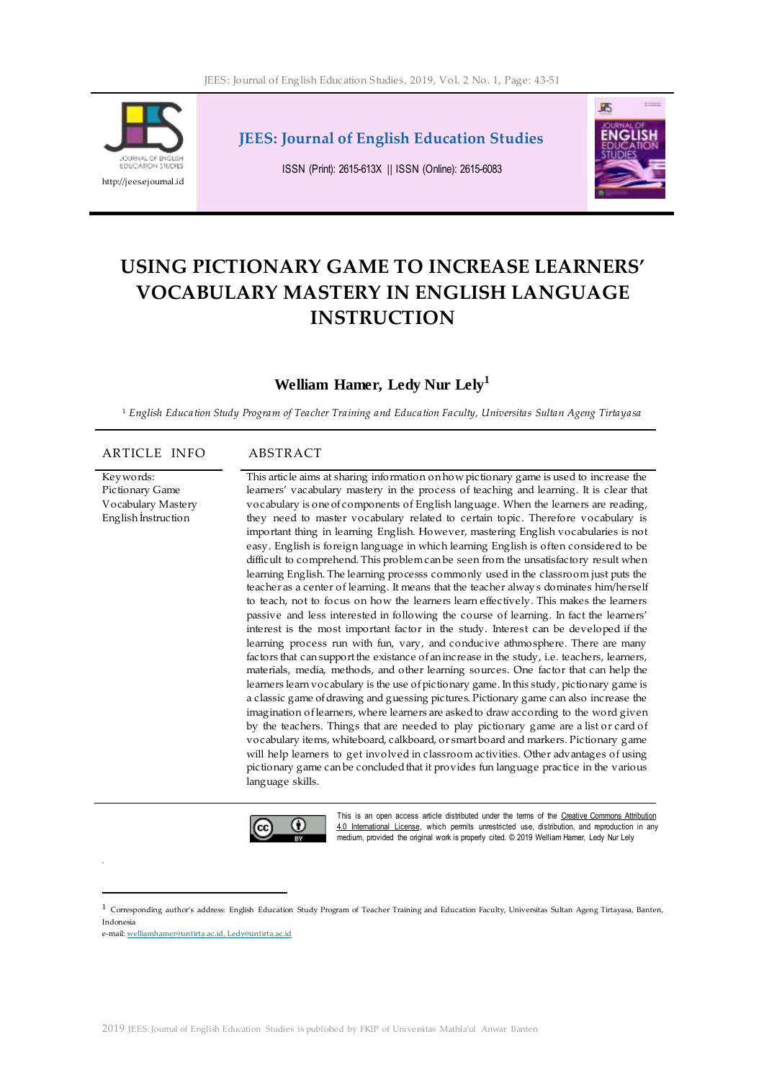

**JEES: Journal of English Education Studies**

ISSN (Print): 2615-613X || ISSN (Online): 2615-6083



# **USING PICTIONARY GAME TO INCREASE LEARNERS' VOCABULARY MASTERY IN ENGLISH LANGUAGE INSTRUCTION**

# **Welliam Hamer, Ledy Nur Lely<sup>1</sup>**

<sup>1</sup> *English Education Study Program of Teacher Training and Education Faculty, Universitas Sultan Ageng Tirtayasa*

#### ARTICLE INFO ABSTRACT

Keywords: Pictionary Game Vocabulary Mastery English İnstruction

This article aims at sharing information on how pictionary game is used to increase the learners' vacabulary mastery in the process of teaching and learning. It is clear that vocabulary is one of components of English language. When the learners are reading, they need to master vocabulary related to certain topic. Therefore vocabulary is important thing in learning English. However, mastering English vocabularies is not easy. English is foreign language in which learning English is often considered to be difficult to comprehend. This problem can be seen from the unsatisfactory result when learning English. The learning processs commonly used in the classroom just puts the teacher as a center of learning. It means that the teacher always dominates him/herself to teach, not to focus on how the learners learn effectively. This makes the learners passive and less interested in following the course of learning. In fact the learners' interest is the most important factor in the study. Interest can be developed if the learning process run with fun, vary, and conducive athmosphere. There are many factors that can support the existance of an increase in the study, i.e. teachers, learners, materials, media, methods, and other learning sources. One factor that can help the learners learn vocabulary is the use of pictionary game. In this study, pictionary game is a classic game of drawing and guessing pictures. Pictionary game can also increase the imagination of learners, where learners are asked to draw according to the word given by the teachers. Things that are needed to play pictionary game are a list or card of vocabulary items, whiteboard, calkboard, or smart board and markers. Pictionary game will help learners to get involved in classroom activities. Other advantages of using pictionary game can be concluded that it provides fun language practice in the various language skills.



This is an open access article distributed under the terms of the Creative Commons Attribution 4.0 Intemational License, which permits unrestricted use, distribution, and reproduction in any medium, provided the original work is properly cited. © 2019 Welliam Hamer, Ledy Nur Lely

 $\overline{a}$ 

 $1$  Corresponding author's address: English Education Study Program of Teacher Training and Education Faculty, Universitas Sultan Ageng Tirtayasa, Banten, Indonesia

e-mail[: welliamhamer@untirta.ac.id,](mailto:welliamhamer@untirta.ac.id) Ledy@untirta.ac.id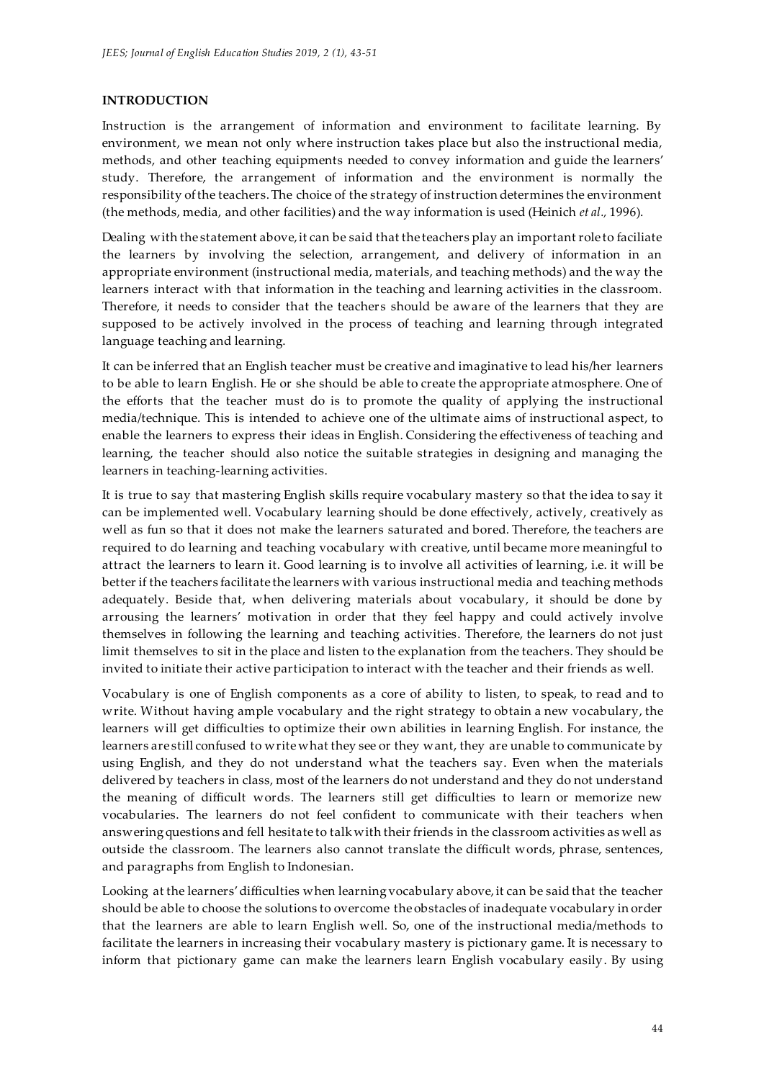# **INTRODUCTION**

Instruction is the arrangement of information and environment to facilitate learning. By environment, we mean not only where instruction takes place but also the instructional media, methods, and other teaching equipments needed to convey information and guide the learners' study. Therefore, the arrangement of information and the environment is normally the responsibility of the teachers. The choice of the strategy of instruction determines the environment (the methods, media, and other facilities) and the way information is used (Heinich *et al.,* 1996).

Dealing with the statement above, it can be said that the teachers play an important role to faciliate the learners by involving the selection, arrangement, and delivery of information in an appropriate environment (instructional media, materials, and teaching methods) and the way the learners interact with that information in the teaching and learning activities in the classroom. Therefore, it needs to consider that the teachers should be aware of the learners that they are supposed to be actively involved in the process of teaching and learning through integrated language teaching and learning.

It can be inferred that an English teacher must be creative and imaginative to lead his/her learners to be able to learn English. He or she should be able to create the appropriate atmosphere. One of the efforts that the teacher must do is to promote the quality of applying the instructional media/technique. This is intended to achieve one of the ultimate aims of instructional aspect, to enable the learners to express their ideas in English. Considering the effectiveness of teaching and learning, the teacher should also notice the suitable strategies in designing and managing the learners in teaching-learning activities.

It is true to say that mastering English skills require vocabulary mastery so that the idea to say it can be implemented well. Vocabulary learning should be done effectively, actively, creatively as well as fun so that it does not make the learners saturated and bored. Therefore, the teachers are required to do learning and teaching vocabulary with creative, until became more meaningful to attract the learners to learn it. Good learning is to involve all activities of learning, i.e. it will be better if the teachers facilitate the learners with various instructional media and teaching methods adequately. Beside that, when delivering materials about vocabulary, it should be done by arrousing the learners' motivation in order that they feel happy and could actively involve themselves in following the learning and teaching activities. Therefore, the learners do not just limit themselves to sit in the place and listen to the explanation from the teachers. They should be invited to initiate their active participation to interact with the teacher and their friends as well.

Vocabulary is one of English components as a core of ability to listen, to speak, to read and to write. Without having ample vocabulary and the right strategy to obtain a new vocabulary, the learners will get difficulties to optimize their own abilities in learning English. For instance, the learners are still confused to write what they see or they want, they are unable to communicate by using English, and they do not understand what the teachers say. Even when the materials delivered by teachers in class, most of the learners do not understand and they do not understand the meaning of difficult words. The learners still get difficulties to learn or memorize new vocabularies. The learners do not feel confident to communicate with their teachers when answering questions and fell hesitate to talk with their friends in the classroom activities as well as outside the classroom. The learners also cannot translate the difficult words, phrase, sentences, and paragraphs from English to Indonesian.

Looking at the learners' difficulties when learning vocabulary above, it can be said that the teacher should be able to choose the solutions to overcome the obstacles of inadequate vocabulary in order that the learners are able to learn English well. So, one of the instructional media/methods to facilitate the learners in increasing their vocabulary mastery is pictionary game. It is necessary to inform that pictionary game can make the learners learn English vocabulary easily. By using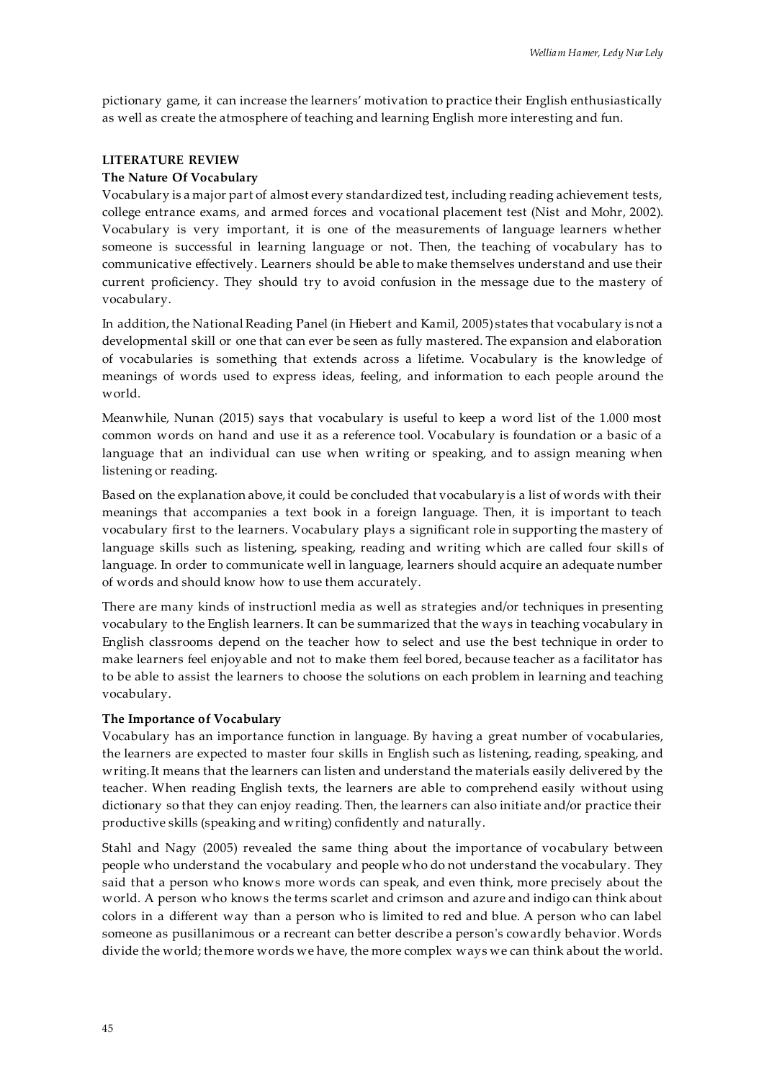pictionary game, it can increase the learners' motivation to practice their English enthusiastically as well as create the atmosphere of teaching and learning English more interesting and fun.

# **LITERATURE REVIEW**

## **The Nature Of Vocabulary**

Vocabulary is a major part of almost every standardized test, including reading achievement tests, college entrance exams, and armed forces and vocational placement test (Nist and Mohr, 2002). Vocabulary is very important, it is one of the measurements of language learners whether someone is successful in learning language or not. Then, the teaching of vocabulary has to communicative effectively. Learners should be able to make themselves understand and use their current proficiency. They should try to avoid confusion in the message due to the mastery of vocabulary.

In addition, the National Reading Panel (in Hiebert and Kamil, 2005) states that vocabulary is not a developmental skill or one that can ever be seen as fully mastered. The expansion and elaboration of vocabularies is something that extends across a lifetime. Vocabulary is the knowledge of meanings of words used to express ideas, feeling, and information to each people around the world.

Meanwhile, Nunan (2015) says that vocabulary is useful to keep a word list of the 1.000 most common words on hand and use it as a reference tool. Vocabulary is foundation or a basic of a language that an individual can use when writing or speaking, and to assign meaning when listening or reading.

Based on the explanation above, it could be concluded that vocabulary is a list of words with their meanings that accompanies a text book in a foreign language. Then, it is important to teach vocabulary first to the learners. Vocabulary plays a significant role in supporting the mastery of language skills such as listening, speaking, reading and writing which are called four skills of language. In order to communicate well in language, learners should acquire an adequate number of words and should know how to use them accurately.

There are many kinds of instructionl media as well as strategies and/or techniques in presenting vocabulary to the English learners. It can be summarized that the ways in teaching vocabulary in English classrooms depend on the teacher how to select and use the best technique in order to make learners feel enjoyable and not to make them feel bored, because teacher as a facilitator has to be able to assist the learners to choose the solutions on each problem in learning and teaching vocabulary.

## **The Importance of Vocabulary**

Vocabulary has an importance function in language. By having a great number of vocabularies, the learners are expected to master four skills in English such as listening, reading, speaking, and writing. It means that the learners can listen and understand the materials easily delivered by the teacher. When reading English texts, the learners are able to comprehend easily without using dictionary so that they can enjoy reading. Then, the learners can also initiate and/or practice their productive skills (speaking and writing) confidently and naturally.

Stahl and Nagy (2005) revealed the same thing about the importance of vocabulary between people who understand the vocabulary and people who do not understand the vocabulary. They said that a person who knows more words can speak, and even think, more precisely about the world. A person who knows the terms scarlet and crimson and azure and indigo can think about colors in a different way than a person who is limited to red and blue. A person who can label someone as pusillanimous or a recreant can better describe a person's cowardly behavior. Words divide the world; the more words we have, the more complex ways we can think about the world.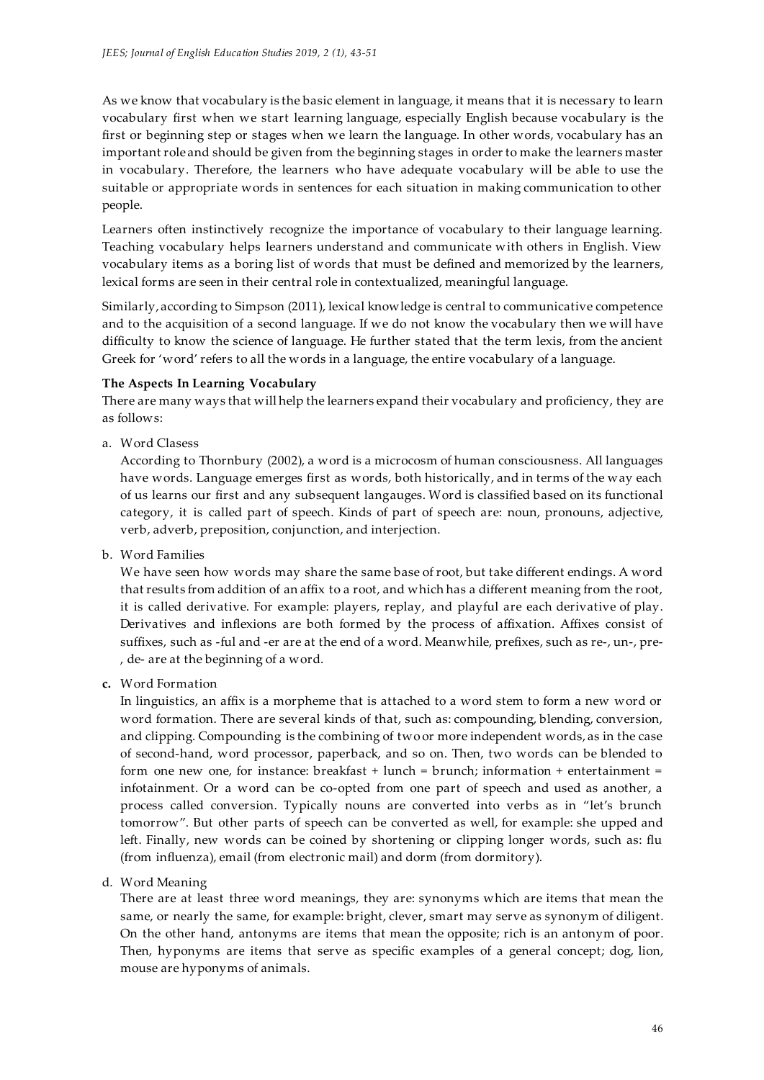As we know that vocabulary is the basic element in language, it means that it is necessary to learn vocabulary first when we start learning language, especially English because vocabulary is the first or beginning step or stages when we learn the language. In other words, vocabulary has an important role and should be given from the beginning stages in order to make the learners master in vocabulary. Therefore, the learners who have adequate vocabulary will be able to use the suitable or appropriate words in sentences for each situation in making communication to other people.

Learners often instinctively recognize the importance of vocabulary to their language learning. Teaching vocabulary helps learners understand and communicate with others in English. View vocabulary items as a boring list of words that must be defined and memorized by the learners, lexical forms are seen in their central role in contextualized, meaningful language.

Similarly, according to Simpson (2011), lexical knowledge is central to communicative competence and to the acquisition of a second language. If we do not know the vocabulary then we will have difficulty to know the science of language. He further stated that the term lexis, from the ancient Greek for 'word' refers to all the words in a language, the entire vocabulary of a language.

# **The Aspects In Learning Vocabulary**

There are many ways that will help the learners expand their vocabulary and proficiency, they are as follows:

a. Word Clasess

According to Thornbury (2002), a word is a microcosm of human consciousness. All languages have words. Language emerges first as words, both historically, and in terms of the way each of us learns our first and any subsequent langauges. Word is classified based on its functional category, it is called part of speech. Kinds of part of speech are: noun, pronouns, adjective, verb, adverb, preposition, conjunction, and interjection.

b. Word Families

We have seen how words may share the same base of root, but take different endings. A word that results from addition of an affix to a root, and which has a different meaning from the root, it is called derivative. For example: players, replay, and playful are each derivative of play. Derivatives and inflexions are both formed by the process of affixation. Affixes consist of suffixes, such as -ful and -er are at the end of a word. Meanwhile, prefixes, such as re-, un-, pre- , de- are at the beginning of a word.

**c.** Word Formation

In linguistics, an affix is a morpheme that is attached to a word stem to form a new word or word formation. There are several kinds of that, such as: compounding, blending, conversion, and clipping. Compounding is the combining of two or more independent words, as in the case of second-hand, word processor, paperback, and so on. Then, two words can be blended to form one new one, for instance: breakfast + lunch = brunch; information + entertainment = infotainment. Or a word can be co-opted from one part of speech and used as another, a process called conversion. Typically nouns are converted into verbs as in 'let's brunch tomorrow'. But other parts of speech can be converted as well, for example: she upped and left. Finally, new words can be coined by shortening or clipping longer words, such as: flu (from influenza), email (from electronic mail) and dorm (from dormitory).

d. Word Meaning

There are at least three word meanings, they are: synonyms which are items that mean the same, or nearly the same, for example: bright, clever, smart may serve as synonym of diligent. On the other hand, antonyms are items that mean the opposite; rich is an antonym of poor. Then, hyponyms are items that serve as specific examples of a general concept; dog, lion, mouse are hyponyms of animals.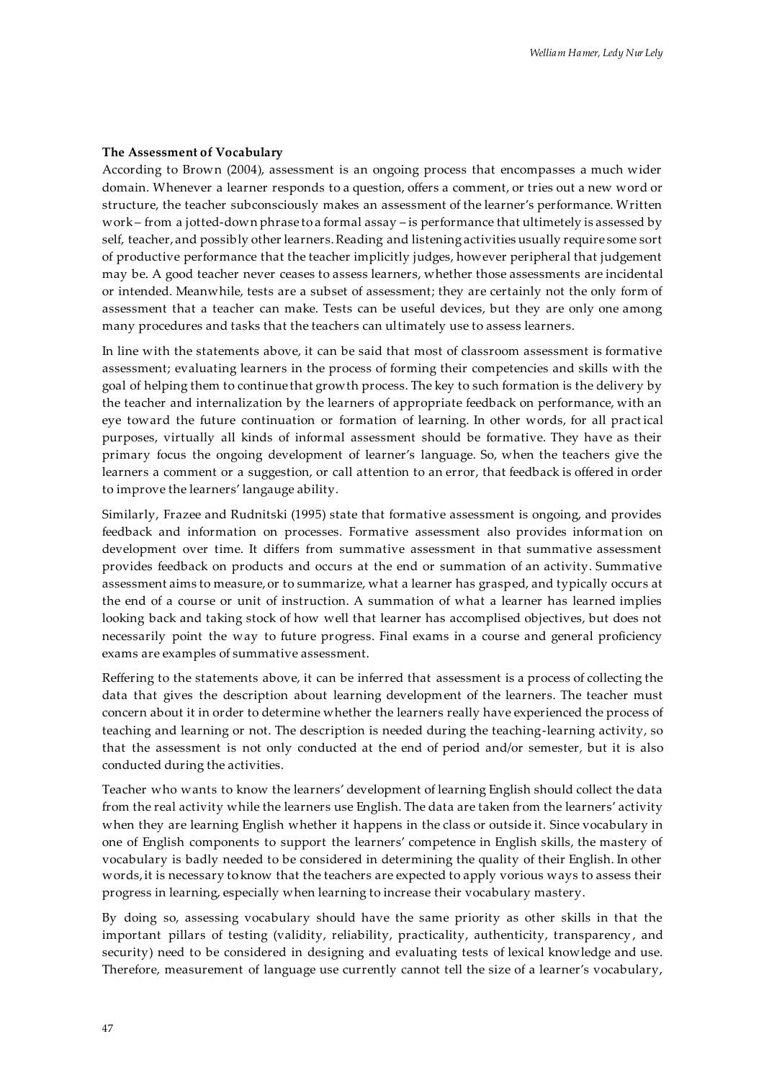## **The Assessment of Vocabulary**

According to Brown (2004), assessment is an ongoing process that encompasses a much wider domain. Whenever a learner responds to a question, offers a comment, or tries out a new word or structure, the teacher subconsciously makes an assessment of the learner's performance. Written work – from a jotted-down phrase to a formal assay – is performance that ultimetely is assessed by self, teacher, and possibly other learners. Reading and listening activities usually require some sort of productive performance that the teacher implicitly judges, however peripheral that judgement may be. A good teacher never ceases to assess learners, whether those assessments are incidental or intended. Meanwhile, tests are a subset of assessment; they are certainly not the only form of assessment that a teacher can make. Tests can be useful devices, but they are only one among many procedures and tasks that the teachers can ultimately use to assess learners.

In line with the statements above, it can be said that most of classroom assessment is formative assessment; evaluating learners in the process of forming their competencies and skills with the goal of helping them to continue that growth process. The key to such formation is the delivery by the teacher and internalization by the learners of appropriate feedback on performance, with an eye toward the future continuation or formation of learning. In other words, for all pract ical purposes, virtually all kinds of informal assessment should be formative. They have as their primary focus the ongoing development of learner's language. So, when the teachers give the learners a comment or a suggestion, or call attention to an error, that feedback is offered in order to improve the learners' langauge ability.

Similarly, Frazee and Rudnitski (1995) state that formative assessment is ongoing, and provides feedback and information on processes. Formative assessment also provides information on development over time. It differs from summative assessment in that summative assessment provides feedback on products and occurs at the end or summation of an activity. Summative assessment aims to measure, or to summarize, what a learner has grasped, and typically occurs at the end of a course or unit of instruction. A summation of what a learner has learned implies looking back and taking stock of how well that learner has accomplised objectives, but does not necessarily point the way to future progress. Final exams in a course and general proficiency exams are examples of summative assessment.

Reffering to the statements above, it can be inferred that assessment is a process of collecting the data that gives the description about learning development of the learners. The teacher must concern about it in order to determine whether the learners really have experienced the process of teaching and learning or not. The description is needed during the teaching-learning activity, so that the assessment is not only conducted at the end of period and/or semester*,* but it is also conducted during the activities.

Teacher who wants to know the learners' development of learning English should collect the data from the real activity while the learners use English. The data are taken from the learners' activity when they are learning English whether it happens in the class or outside it. Since vocabulary in one of English components to support the learners' competence in English skills, the mastery of vocabulary is badly needed to be considered in determining the quality of their English. In other words, it is necessary to know that the teachers are expected to apply vorious ways to assess their progress in learning, especially when learning to increase their vocabulary mastery.

By doing so, assessing vocabulary should have the same priority as other skills in that the important pillars of testing (validity, reliability, practicality, authenticity, transparency , and security) need to be considered in designing and evaluating tests of lexical knowledge and use. Therefore, measurement of language use currently cannot tell the size of a learner's vocabulary,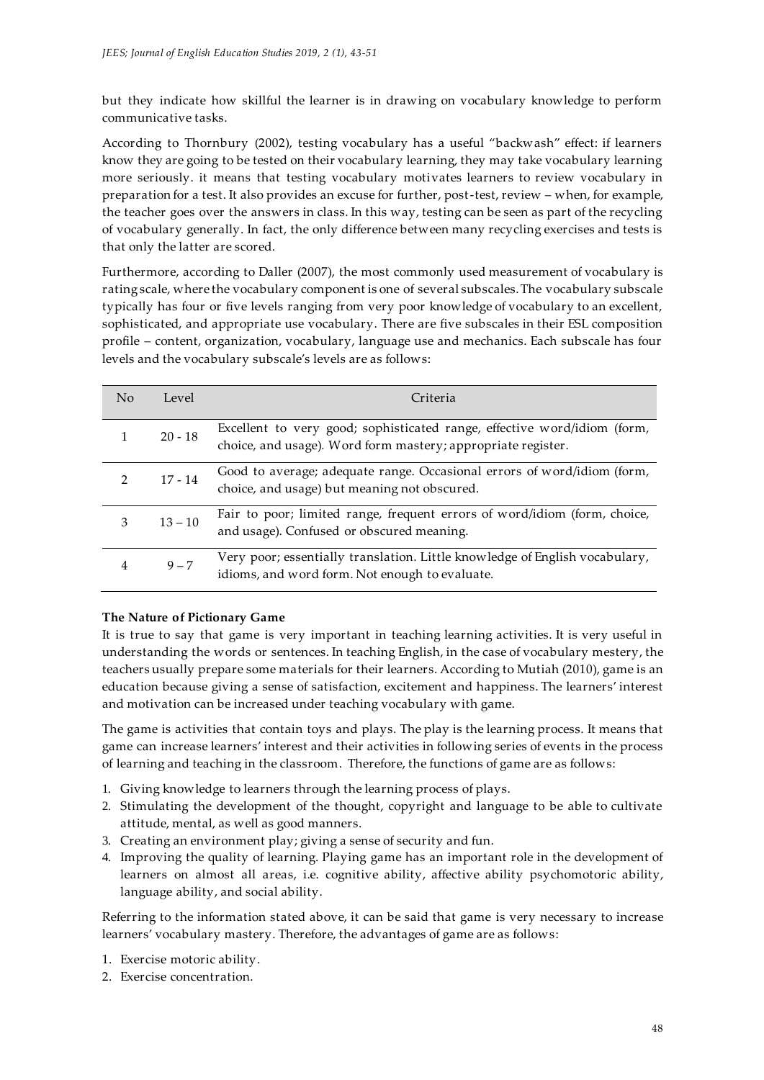but they indicate how skillful the learner is in drawing on vocabulary knowledge to perform communicative tasks.

According to Thornbury (2002), testing vocabulary has a useful 'backwash' effect: if learners know they are going to be tested on their vocabulary learning, they may take vocabulary learning more seriously. it means that testing vocabulary motivates learners to review vocabulary in preparation for a test. It also provides an excuse for further, post-test, review – when, for example, the teacher goes over the answers in class. In this way, testing can be seen as part of the recycling of vocabulary generally. In fact, the only difference between many recycling exercises and tests is that only the latter are scored.

Furthermore, according to Daller (2007), the most commonly used measurement of vocabulary is rating scale, where the vocabulary component is one of several subscales. The vocabulary subscale typically has four or five levels ranging from very poor knowledge of vocabulary to an excellent, sophisticated, and appropriate use vocabulary. There are five subscales in their ESL composition profile – content, organization, vocabulary, language use and mechanics. Each subscale has four levels and the vocabulary subscale's levels are as follows:

| No            | Level     | Criteria                                                                                                                                 |
|---------------|-----------|------------------------------------------------------------------------------------------------------------------------------------------|
|               | $20 - 18$ | Excellent to very good; sophisticated range, effective word/idiom (form,<br>choice, and usage). Word form mastery; appropriate register. |
| $\mathcal{D}$ | $17 - 14$ | Good to average; adequate range. Occasional errors of word/idiom (form,<br>choice, and usage) but meaning not obscured.                  |
| 3             | $13 - 10$ | Fair to poor; limited range, frequent errors of word/idiom (form, choice,<br>and usage). Confused or obscured meaning.                   |
| 4             | $9 - 7$   | Very poor; essentially translation. Little knowledge of English vocabulary,<br>idioms, and word form. Not enough to evaluate.            |

# **The Nature of Pictionary Game**

It is true to say that game is very important in teaching learning activities. It is very useful in understanding the words or sentences. In teaching English, in the case of vocabulary mestery, the teachers usually prepare some materials for their learners. According to Mutiah (2010), game is an education because giving a sense of satisfaction, excitement and happiness. The learners' interest and motivation can be increased under teaching vocabulary with game.

The game is activities that contain toys and plays. The play is the learning process. It means that game can increase learners' interest and their activities in following series of events in the process of learning and teaching in the classroom. Therefore, the functions of game are as follows:

- 1. Giving knowledge to learners through the learning process of plays.
- 2. Stimulating the development of the thought, copyright and language to be able to cultivate attitude, mental, as well as good manners.
- 3. Creating an environment play; giving a sense of security and fun.
- 4. Improving the quality of learning. Playing game has an important role in the development of learners on almost all areas, i.e. cognitive ability, affective ability psychomotoric ability, language ability, and social ability.

Referring to the information stated above, it can be said that game is very necessary to increase learners' vocabulary mastery. Therefore, the advantages of game are as follows:

- 1. Exercise motoric ability.
- 2. Exercise concentration.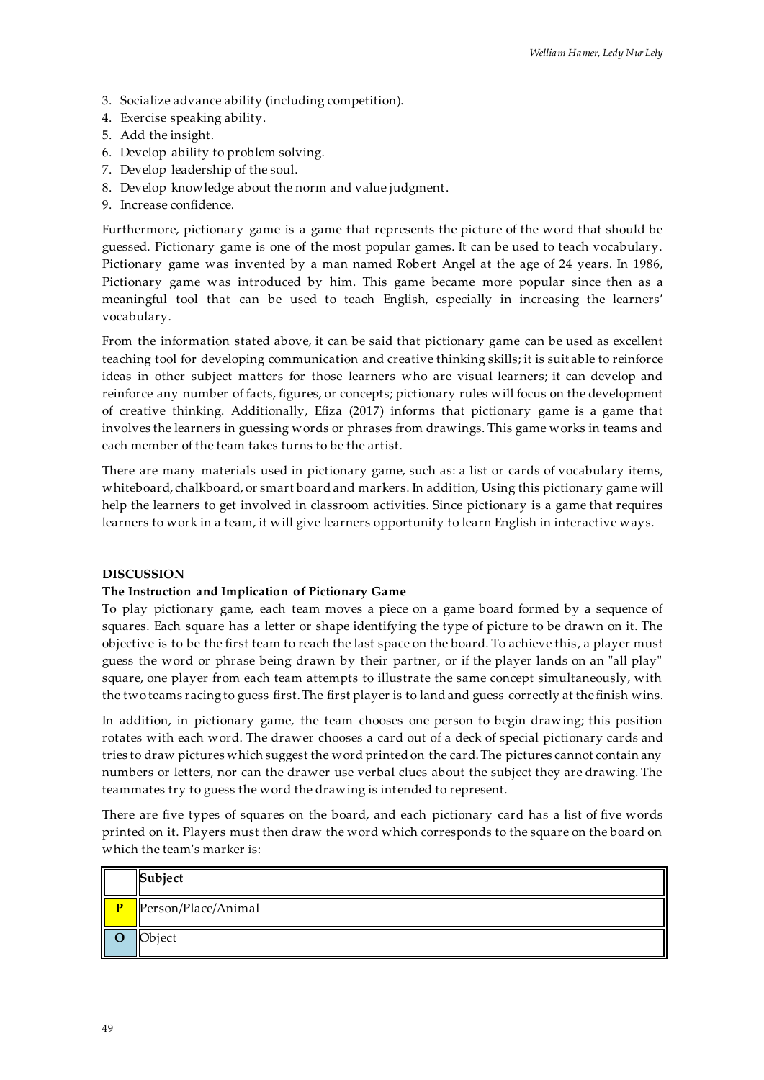- 3. Socialize advance ability (including competition).
- 4. Exercise speaking ability.
- 5. Add the insight.
- 6. Develop ability to problem solving.
- 7. Develop leadership of the soul.
- 8. Develop knowledge about the norm and value judgment.
- 9. Increase confidence.

Furthermore, pictionary game is a game that represents the picture of the word that should be guessed. Pictionary game is one of the most popular games. It can be used to teach vocabulary. Pictionary game was invented by a man named Robert Angel at the age of 24 years. In 1986, Pictionary game was introduced by him. This game became more popular since then as a meaningful tool that can be used to teach English, especially in increasing the learners' vocabulary.

From the information stated above, it can be said that pictionary game can be used as excellent teaching tool for developing communication and creative thinking skills; it is suit able to reinforce ideas in other subject matters for those learners who are visual learners; it can develop and reinforce any number of facts, figures, or concepts; pictionary rules will focus on the development of creative thinking. Additionally, Efiza (2017) informs that pictionary game is a game that involves the learners in guessing words or phrases from drawings. This game works in teams and each member of the team takes turns to be the artist.

There are many materials used in pictionary game, such as: a list or cards of vocabulary items, whiteboard, chalkboard, or smart board and markers. In addition, Using this pictionary game will help the learners to get involved in classroom activities. Since pictionary is a game that requires learners to work in a team, it will give learners opportunity to learn English in interactive ways.

## **DISCUSSION**

## **The Instruction and Implication of Pictionary Game**

To play pictionary game, each team moves a piece on a game board formed by a sequence of [squares.](https://en.wikipedia.org/wiki/Square) Each square has [a letter](https://en.wikipedia.org/wiki/Letter_(alphabet)) or shape identifying the type of picture to be drawn on it. The [objective](https://en.wikipedia.org/wiki/Goal) is to be the first team to reach the last space on the board. To achieve this , a player must guess the word or phrase being drawn by their partner, or if the player lands on an "all play" square, one player from each team attempts to illustrate the same concept simultaneously, with the two teams racing to guess first. The first player is to land and guess correctly at the finish wins.

In addition, in pictionary game, the team chooses one person to begin drawing; this position [rotates](https://en.wikipedia.org/wiki/Round-robin_tournament) with each word. The drawer chooses [a card](https://en.wikipedia.org/wiki/Playing_card) out of a deck of special pictionary cards and tries to draw pictures which suggest the word printed on the card. The pictures cannot contain any numbers or letters, nor can the drawer use verbal clues about the subject they are drawing. The teammates try to guess the word the drawing is intended to represent.

There are five types of squares on the board, and each pictionary card has a list of five words printed on it. Players must then draw the word which corresponds to the square on the board on which the team's marker is:

|   | Subject             |  |  |
|---|---------------------|--|--|
| n | Person/Place/Animal |  |  |
| Ш | Object              |  |  |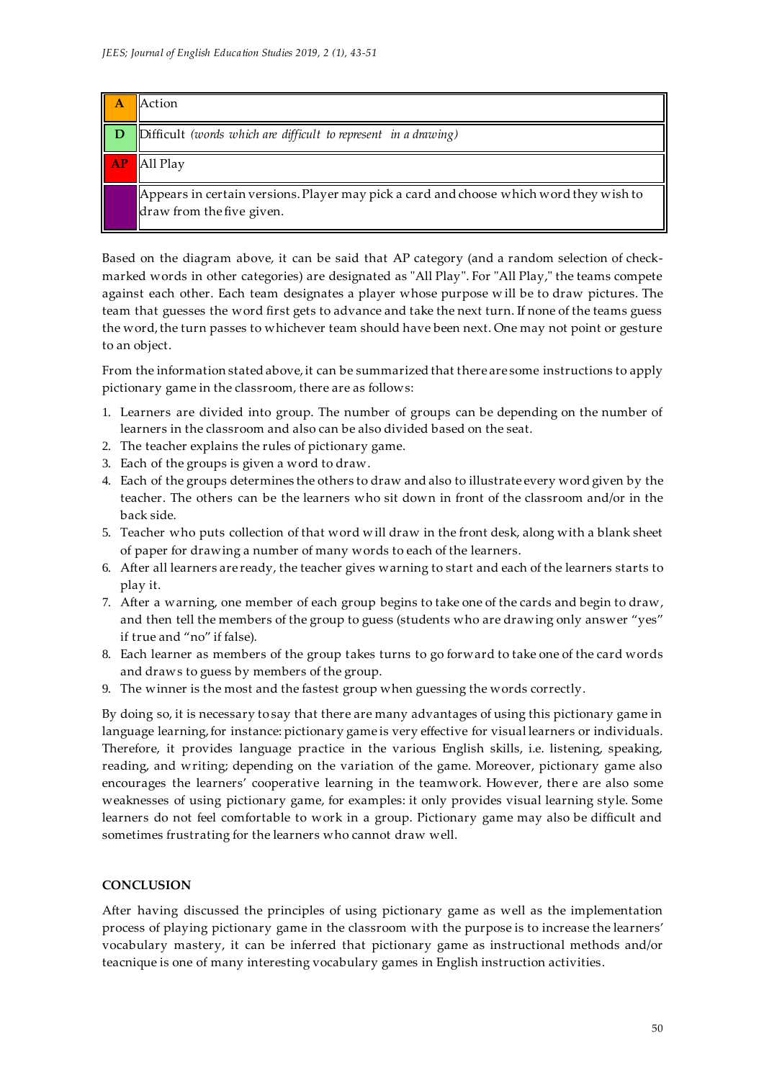| Α  | Action                                                                                                              |
|----|---------------------------------------------------------------------------------------------------------------------|
| D  | $\Delta$ Difficult (words which are difficult to represent in a drawing)                                            |
| AP | All Play                                                                                                            |
|    | Appears in certain versions. Player may pick a card and choose which word they wish to<br>draw from the five given. |

Based on the diagram above, it can be said that AP category (and a random selection of checkmarked words in other categories) are designated as "All Play". For "All Play," the teams compete against each other. Each team designates a player whose purpose w ill be to draw pictures. The team that guesses the word first gets to advance and take the next turn. If none of the teams guess the word, the turn passes to whichever team should have been next. One may not point or gesture to an object.

From the information stated above, it can be summarized that there are some instructions to apply pictionary game in the classroom, there are as follows:

- 1. Learners are divided into group. The number of groups can be depending on the number of learners in the classroom and also can be also divided based on the seat.
- 2. The teacher explains the rules of pictionary game.
- 3. Each of the groups is given a word to draw.
- 4. Each of the groups determines the others to draw and also to illustrate every word given by the teacher. The others can be the learners who sit down in front of the classroom and/or in the back side.
- 5. Teacher who puts collection of that word will draw in the front desk, along with a blank sheet of paper for drawing a number of many words to each of the learners.
- 6. After all learners are ready, the teacher gives warning to start and each of the learners starts to play it.
- 7. After a warning, one member of each group begins to take one of the cards and begin to draw, and then tell the members of the group to guess (students who are drawing only answer 'yes' if true and "no" if false).
- 8. Each learner as members of the group takes turns to go forward to take one of the card words and draws to guess by members of the group.
- 9. The winner is the most and the fastest group when guessing the words correctly.

By doing so, it is necessary to say that there are many advantages of using this pictionary game in language learning, for instance: pictionary game is very effective for visual learners or individuals. Therefore, it provides language practice in the various English skills, i.e. listening, speaking, reading, and writing; depending on the variation of the game. Moreover, pictionary game also encourages the learners' cooperative learning in the teamwork. However, there are also some weaknesses of using pictionary game, for examples: it only provides visual learning style. Some learners do not feel comfortable to work in a group. Pictionary game may also be difficult and sometimes frustrating for the learners who cannot draw well.

# **CONCLUSION**

After having discussed the principles of using pictionary game as well as the implementation process of playing pictionary game in the classroom with the purpose is to increase the learners' vocabulary mastery, it can be inferred that pictionary game as instructional methods and/or teacnique is one of many interesting vocabulary games in English instruction activities.